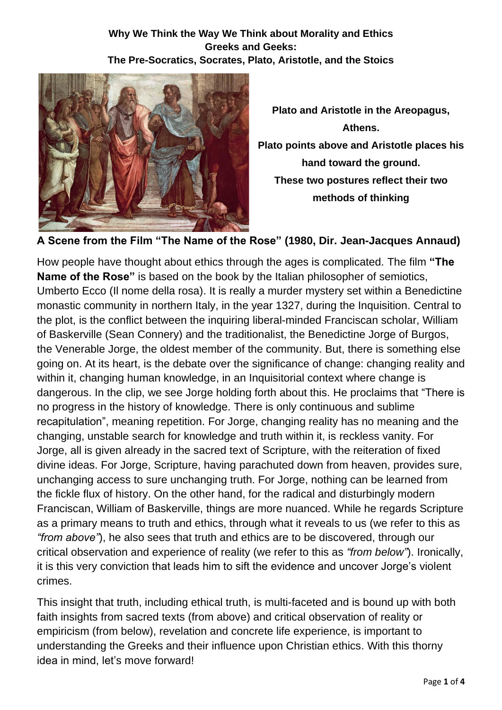#### **Why We Think the Way We Think about Morality and Ethics Greeks and Geeks: The Pre-Socratics, Socrates, Plato, Aristotle, and the Stoics**



**Plato and Aristotle in the Areopagus, Athens. Plato points above and Aristotle places his hand toward the ground. These two postures reflect their two methods of thinking** 

**A Scene from the Film "The Name of the Rose" (1980, Dir. Jean-Jacques Annaud)**

How people have thought about ethics through the ages is complicated. The film **"The Name of the Rose"** is based on the book by the Italian philosopher of semiotics, Umberto Ecco (Il nome della rosa). It is really a murder mystery set within a Benedictine monastic community in northern Italy, in the year 1327, during the Inquisition. Central to the plot, is the conflict between the inquiring liberal-minded Franciscan scholar, William of Baskerville (Sean Connery) and the traditionalist, the Benedictine Jorge of Burgos, the Venerable Jorge, the oldest member of the community. But, there is something else going on. At its heart, is the debate over the significance of change: changing reality and within it, changing human knowledge, in an Inquisitorial context where change is dangerous. In the clip, we see Jorge holding forth about this. He proclaims that "There is no progress in the history of knowledge. There is only continuous and sublime recapitulation", meaning repetition. For Jorge, changing reality has no meaning and the changing, unstable search for knowledge and truth within it, is reckless vanity. For Jorge, all is given already in the sacred text of Scripture, with the reiteration of fixed divine ideas. For Jorge, Scripture, having parachuted down from heaven, provides sure, unchanging access to sure unchanging truth. For Jorge, nothing can be learned from the fickle flux of history. On the other hand, for the radical and disturbingly modern Franciscan, William of Baskerville, things are more nuanced. While he regards Scripture as a primary means to truth and ethics, through what it reveals to us (we refer to this as *"from above"*), he also sees that truth and ethics are to be discovered, through our critical observation and experience of reality (we refer to this as *"from below"*). Ironically, it is this very conviction that leads him to sift the evidence and uncover Jorge's violent crimes.

This insight that truth, including ethical truth, is multi-faceted and is bound up with both faith insights from sacred texts (from above) and critical observation of reality or empiricism (from below), revelation and concrete life experience, is important to understanding the Greeks and their influence upon Christian ethics. With this thorny idea in mind, let's move forward!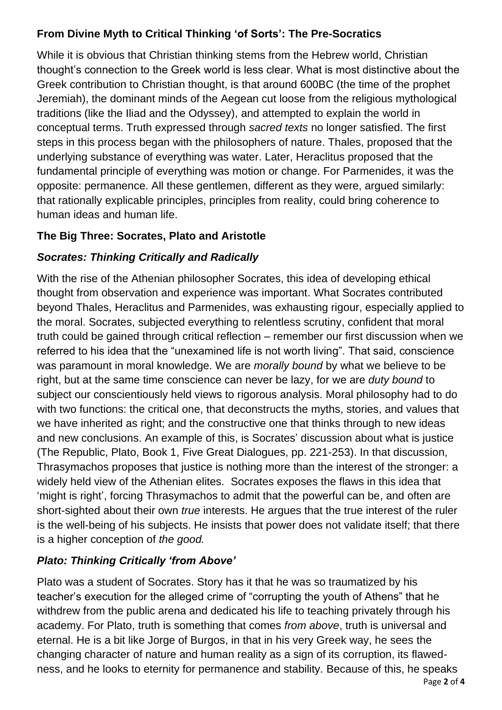## **From Divine Myth to Critical Thinking 'of Sorts': The Pre-Socratics**

While it is obvious that Christian thinking stems from the Hebrew world, Christian thought's connection to the Greek world is less clear. What is most distinctive about the Greek contribution to Christian thought, is that around 600BC (the time of the prophet Jeremiah), the dominant minds of the Aegean cut loose from the religious mythological traditions (like the Iliad and the Odyssey), and attempted to explain the world in conceptual terms. Truth expressed through *sacred texts* no longer satisfied. The first steps in this process began with the philosophers of nature. Thales, proposed that the underlying substance of everything was water. Later, Heraclitus proposed that the fundamental principle of everything was motion or change. For Parmenides, it was the opposite: permanence. All these gentlemen, different as they were, argued similarly: that rationally explicable principles, principles from reality, could bring coherence to human ideas and human life.

## **The Big Three: Socrates, Plato and Aristotle**

## *Socrates: Thinking Critically and Radically*

With the rise of the Athenian philosopher Socrates, this idea of developing ethical thought from observation and experience was important. What Socrates contributed beyond Thales, Heraclitus and Parmenides, was exhausting rigour, especially applied to the moral. Socrates, subjected everything to relentless scrutiny, confident that moral truth could be gained through critical reflection – remember our first discussion when we referred to his idea that the "unexamined life is not worth living". That said, conscience was paramount in moral knowledge. We are *morally bound* by what we believe to be right, but at the same time conscience can never be lazy, for we are *duty bound* to subject our conscientiously held views to rigorous analysis. Moral philosophy had to do with two functions: the critical one, that deconstructs the myths, stories, and values that we have inherited as right; and the constructive one that thinks through to new ideas and new conclusions. An example of this, is Socrates' discussion about what is justice (The Republic, Plato, Book 1, Five Great Dialogues, pp. 221-253). In that discussion, Thrasymachos proposes that justice is nothing more than the interest of the stronger: a widely held view of the Athenian elites. Socrates exposes the flaws in this idea that 'might is right', forcing Thrasymachos to admit that the powerful can be, and often are short-sighted about their own *true* interests. He argues that the true interest of the ruler is the well-being of his subjects. He insists that power does not validate itself; that there is a higher conception of *the good.*

# *Plato: Thinking Critically 'from Above'*

Plato was a student of Socrates. Story has it that he was so traumatized by his teacher's execution for the alleged crime of "corrupting the youth of Athens" that he withdrew from the public arena and dedicated his life to teaching privately through his academy. For Plato, truth is something that comes *from above*, truth is universal and eternal. He is a bit like Jorge of Burgos, in that in his very Greek way, he sees the changing character of nature and human reality as a sign of its corruption, its flawedness, and he looks to eternity for permanence and stability. Because of this, he speaks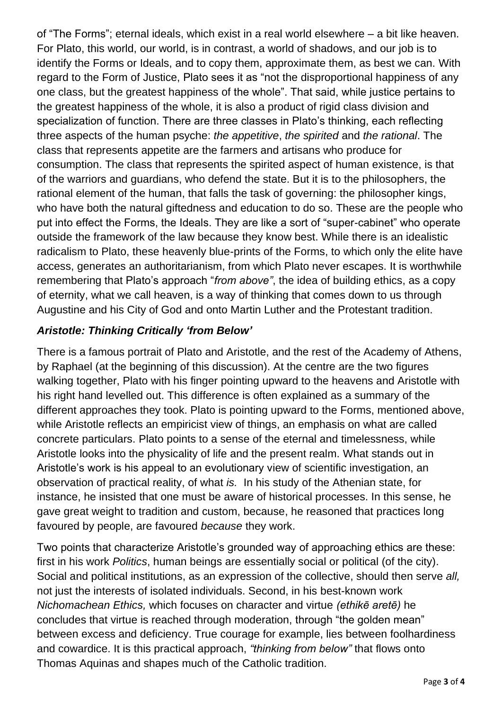of "The Forms"; eternal ideals, which exist in a real world elsewhere – a bit like heaven. For Plato, this world, our world, is in contrast, a world of shadows, and our job is to identify the Forms or Ideals, and to copy them, approximate them, as best we can. With regard to the Form of Justice, Plato sees it as "not the disproportional happiness of any one class, but the greatest happiness of the whole". That said, while justice pertains to the greatest happiness of the whole, it is also a product of rigid class division and specialization of function. There are three classes in Plato's thinking, each reflecting three aspects of the human psyche: *the appetitive*, *the spirited* and *the rational*. The class that represents appetite are the farmers and artisans who produce for consumption. The class that represents the spirited aspect of human existence, is that of the warriors and guardians, who defend the state. But it is to the philosophers, the rational element of the human, that falls the task of governing: the philosopher kings, who have both the natural giftedness and education to do so. These are the people who put into effect the Forms, the Ideals. They are like a sort of "super-cabinet" who operate outside the framework of the law because they know best. While there is an idealistic radicalism to Plato, these heavenly blue-prints of the Forms, to which only the elite have access, generates an authoritarianism, from which Plato never escapes. It is worthwhile remembering that Plato's approach "*from above"*, the idea of building ethics, as a copy of eternity, what we call heaven, is a way of thinking that comes down to us through Augustine and his City of God and onto Martin Luther and the Protestant tradition.

### *Aristotle: Thinking Critically 'from Below'*

There is a famous portrait of Plato and Aristotle, and the rest of the Academy of Athens, by Raphael (at the beginning of this discussion). At the centre are the two figures walking together, Plato with his finger pointing upward to the heavens and Aristotle with his right hand levelled out. This difference is often explained as a summary of the different approaches they took. Plato is pointing upward to the Forms, mentioned above, while Aristotle reflects an empiricist view of things, an emphasis on what are called concrete particulars. Plato points to a sense of the eternal and timelessness, while Aristotle looks into the physicality of life and the present realm. What stands out in Aristotle's work is his appeal to an evolutionary view of scientific investigation, an observation of practical reality, of what *is.* In his study of the Athenian state, for instance, he insisted that one must be aware of historical processes. In this sense, he gave great weight to tradition and custom, because, he reasoned that practices long favoured by people, are favoured *because* they work.

Two points that characterize Aristotle's grounded way of approaching ethics are these: first in his work *Politics*, human beings are essentially social or political (of the city). Social and political institutions, as an expression of the collective, should then serve *all,*  not just the interests of isolated individuals. Second, in his best-known work *Nichomachean Ethics,* which focuses on character and virtue *(ethikē aretē)* he concludes that virtue is reached through moderation, through "the golden mean" between excess and deficiency. True courage for example, lies between foolhardiness and cowardice. It is this practical approach, *"thinking from below"* that flows onto Thomas Aquinas and shapes much of the Catholic tradition.